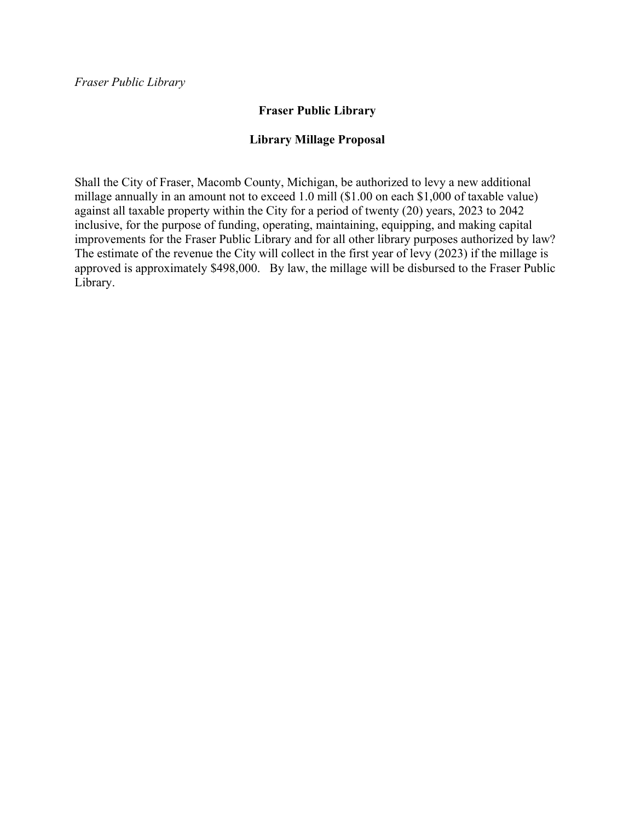# **Fraser Public Library**

# **Library Millage Proposal**

Shall the City of Fraser, Macomb County, Michigan, be authorized to levy a new additional millage annually in an amount not to exceed 1.0 mill (\$1.00 on each \$1,000 of taxable value) against all taxable property within the City for a period of twenty (20) years, 2023 to 2042 inclusive, for the purpose of funding, operating, maintaining, equipping, and making capital improvements for the Fraser Public Library and for all other library purposes authorized by law? The estimate of the revenue the City will collect in the first year of levy (2023) if the millage is approved is approximately \$498,000. By law, the millage will be disbursed to the Fraser Public Library.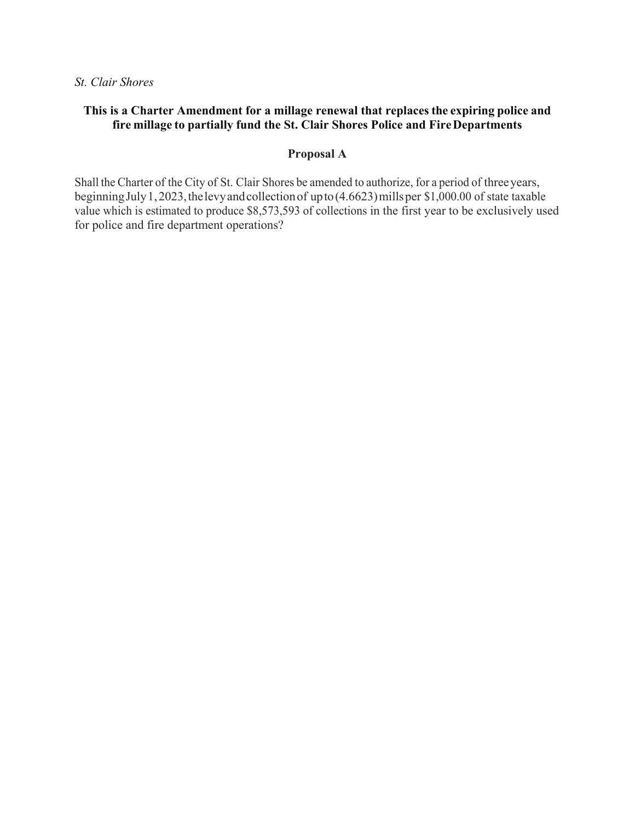*St. Clair Shores* 

## **This is a Charter Amendment for a millage renewal that replaces the expiring police and fire millage to partially fund the St. Clair Shores Police and Fire Departments**

#### **Proposal A**

Shall the Charter of the City of St. Clair Shores be amended to authorize, for a period of three years, beginning July 1, 2023, the levy and collection of up to (4.6623) mills per \$1,000.00 of state taxable value which is estimated to produce \$8,573,593 of collections in the first year to be exclusively used for police and fire department operations?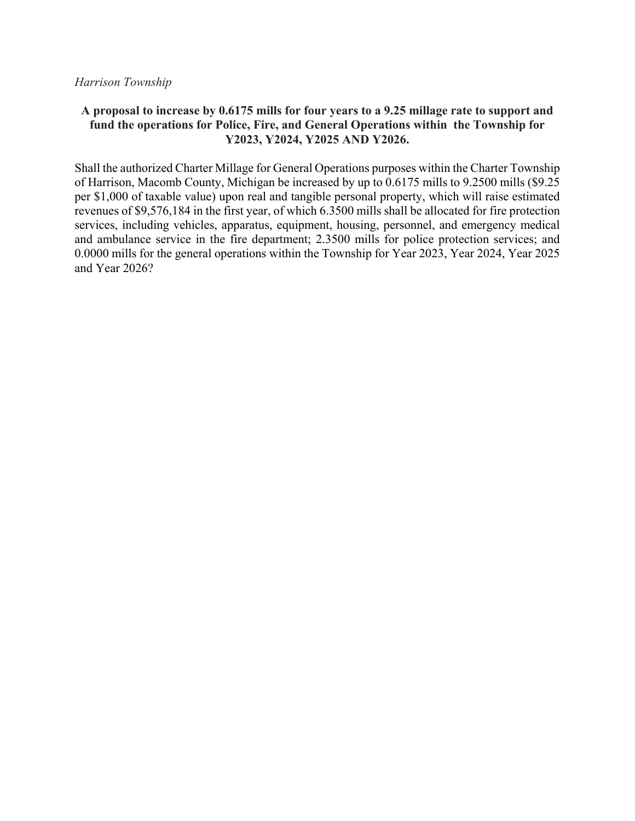#### *Harrison Township*

## **A proposal to increase by 0.6175 mills for four years to a 9.25 millage rate to support and fund the operations for Police, Fire, and General Operations within the Township for Y2023, Y2024, Y2025 AND Y2026.**

Shall the authorized Charter Millage for General Operations purposes within the Charter Township of Harrison, Macomb County, Michigan be increased by up to 0.6175 mills to 9.2500 mills (\$9.25 per \$1,000 of taxable value) upon real and tangible personal property, which will raise estimated revenues of \$9,576,184 in the first year, of which 6.3500 mills shall be allocated for fire protection services, including vehicles, apparatus, equipment, housing, personnel, and emergency medical and ambulance service in the fire department; 2.3500 mills for police protection services; and 0.0000 mills for the general operations within the Township for Year 2023, Year 2024, Year 2025 and Year 2026?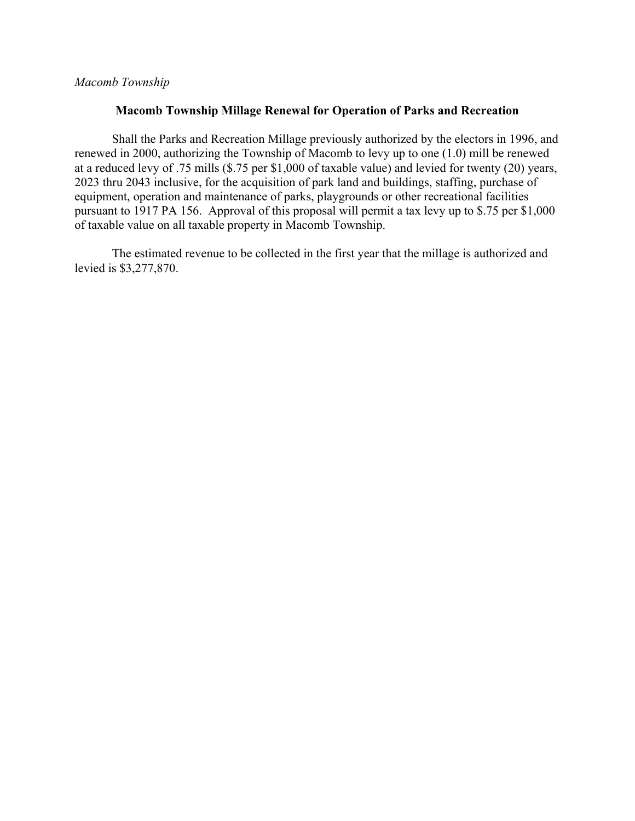## *Macomb Township*

#### **Macomb Township Millage Renewal for Operation of Parks and Recreation**

 Shall the Parks and Recreation Millage previously authorized by the electors in 1996, and renewed in 2000, authorizing the Township of Macomb to levy up to one (1.0) mill be renewed at a reduced levy of .75 mills (\$.75 per \$1,000 of taxable value) and levied for twenty (20) years, 2023 thru 2043 inclusive, for the acquisition of park land and buildings, staffing, purchase of equipment, operation and maintenance of parks, playgrounds or other recreational facilities pursuant to 1917 PA 156. Approval of this proposal will permit a tax levy up to \$.75 per \$1,000 of taxable value on all taxable property in Macomb Township.

The estimated revenue to be collected in the first year that the millage is authorized and levied is \$3,277,870.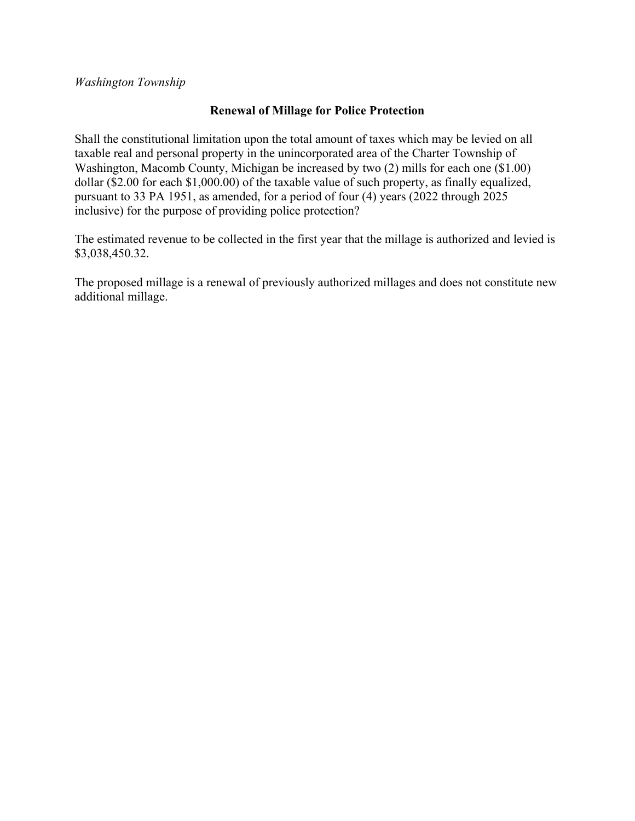*Washington Township* 

# **Renewal of Millage for Police Protection**

Shall the constitutional limitation upon the total amount of taxes which may be levied on all taxable real and personal property in the unincorporated area of the Charter Township of Washington, Macomb County, Michigan be increased by two (2) mills for each one (\$1.00) dollar (\$2.00 for each \$1,000.00) of the taxable value of such property, as finally equalized, pursuant to 33 PA 1951, as amended, for a period of four (4) years (2022 through 2025 inclusive) for the purpose of providing police protection?

The estimated revenue to be collected in the first year that the millage is authorized and levied is \$3,038,450.32.

The proposed millage is a renewal of previously authorized millages and does not constitute new additional millage.